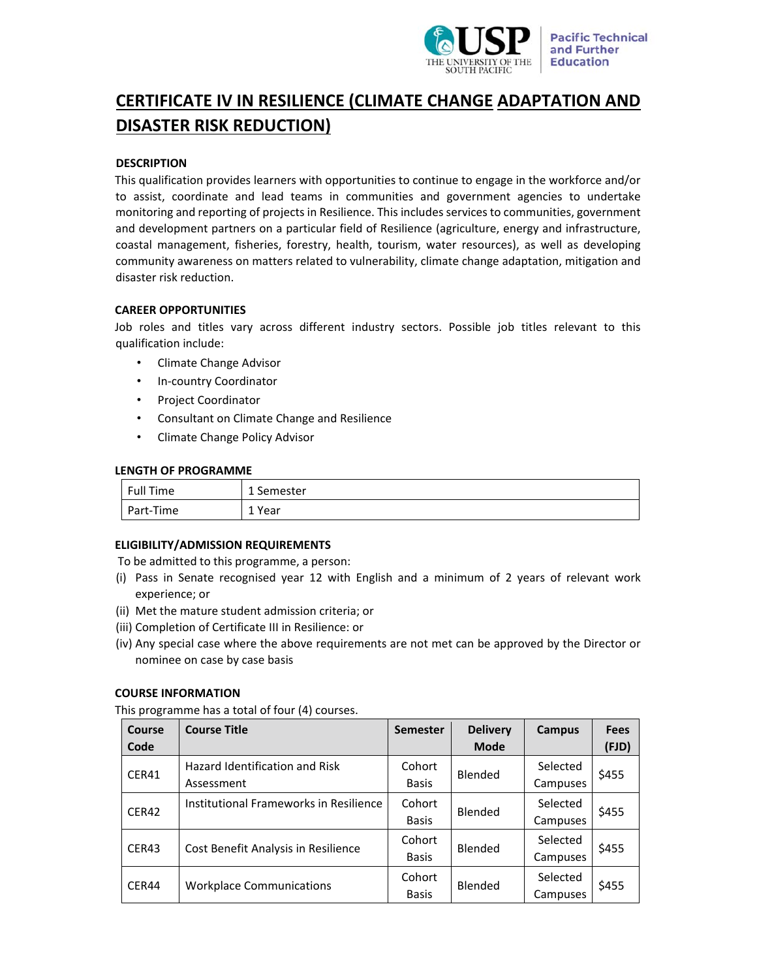

# **CERTIFICATE IV IN RESILIENCE (CLIMATE CHANGE ADAPTATION AND DISASTER RISK REDUCTION)**

# **DESCRIPTION**

This qualification provides learners with opportunities to continue to engage in the workforce and/or to assist, coordinate and lead teams in communities and government agencies to undertake monitoring and reporting of projects in Resilience. This includes services to communities, government and development partners on a particular field of Resilience (agriculture, energy and infrastructure, coastal management, fisheries, forestry, health, tourism, water resources), as well as developing community awareness on matters related to vulnerability, climate change adaptation, mitigation and disaster risk reduction.

# **CAREER OPPORTUNITIES**

Job roles and titles vary across different industry sectors. Possible job titles relevant to this qualification include:

- Climate Change Advisor
- In‐country Coordinator
- Project Coordinator
- Consultant on Climate Change and Resilience
- Climate Change Policy Advisor

# **LENGTH OF PROGRAMME**

| Full Time | 1 Semester |
|-----------|------------|
| Part-Time | 1 Year     |

# **ELIGIBILITY/ADMISSION REQUIREMENTS**

To be admitted to this programme, a person:

- (i) Pass in Senate recognised year 12 with English and a minimum of 2 years of relevant work experience; or
- (ii) Met the mature student admission criteria; or
- (iii) Completion of Certificate III in Resilience: or
- (iv) Any special case where the above requirements are not met can be approved by the Director or nominee on case by case basis

# **COURSE INFORMATION**

This programme has a total of four (4) courses.

| Course<br>Code | <b>Course Title</b>                          | <b>Semester</b>        | <b>Delivery</b><br><b>Mode</b> | Campus               | <b>Fees</b><br>(FJD) |
|----------------|----------------------------------------------|------------------------|--------------------------------|----------------------|----------------------|
| CER41          | Hazard Identification and Risk<br>Assessment | Cohort<br><b>Basis</b> | Blended                        | Selected<br>Campuses | \$455                |
| CER42          | Institutional Frameworks in Resilience       | Cohort<br><b>Basis</b> | Blended                        | Selected<br>Campuses | \$455                |
| CER43          | Cost Benefit Analysis in Resilience          | Cohort<br><b>Basis</b> | Blended                        | Selected<br>Campuses | \$455                |
| CER44          | <b>Workplace Communications</b>              | Cohort<br><b>Basis</b> | Blended                        | Selected<br>Campuses | \$455                |